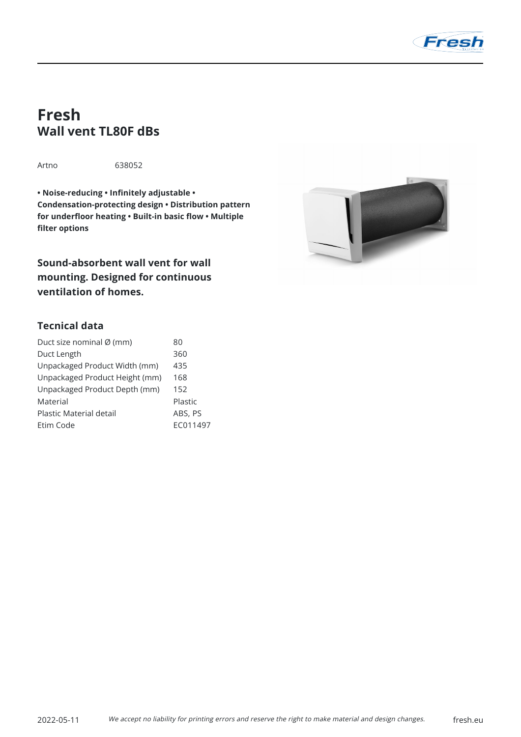

# **Fresh Wall vent TL80F dBs**

Artno 638052

**• Noise-reducing • Infinitely adjustable • Condensation-protecting design • Distribution pattern for underfloor heating • Built-in basic flow • Multiple filter options**

**Sound-absorbent wall vent for wall mounting. Designed for continuous ventilation of homes.**



## **Tecnical data**

| Duct size nominal Ø (mm)       | 80       |
|--------------------------------|----------|
| Duct Length                    | 360      |
| Unpackaged Product Width (mm)  | 435      |
| Unpackaged Product Height (mm) | 168      |
| Unpackaged Product Depth (mm)  | 152      |
| Material                       | Plastic  |
| Plastic Material detail        | ABS, PS  |
| Ftim Code                      | FC011497 |
|                                |          |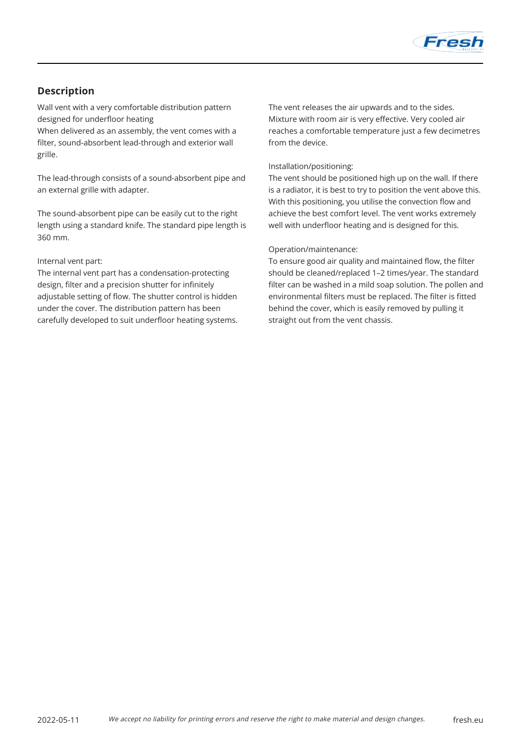

# **Description**

Wall vent with a very comfortable distribution pattern designed for underfloor heating When delivered as an assembly, the vent comes with a

filter, sound-absorbent lead-through and exterior wall grille.

The lead-through consists of a sound-absorbent pipe and an external grille with adapter.

The sound-absorbent pipe can be easily cut to the right length using a standard knife. The standard pipe length is 360 mm.

#### Internal vent part:

The internal vent part has a condensation-protecting design, filter and a precision shutter for infinitely adjustable setting of flow. The shutter control is hidden under the cover. The distribution pattern has been carefully developed to suit underfloor heating systems. The vent releases the air upwards and to the sides. Mixture with room air is very effective. Very cooled air reaches a comfortable temperature just a few decimetres from the device.

#### Installation/positioning:

The vent should be positioned high up on the wall. If there is a radiator, it is best to try to position the vent above this. With this positioning, you utilise the convection flow and achieve the best comfort level. The vent works extremely well with underfloor heating and is designed for this.

#### Operation/maintenance:

To ensure good air quality and maintained flow, the filter should be cleaned/replaced 1–2 times/year. The standard filter can be washed in a mild soap solution. The pollen and environmental filters must be replaced. The filter is fitted behind the cover, which is easily removed by pulling it straight out from the vent chassis.